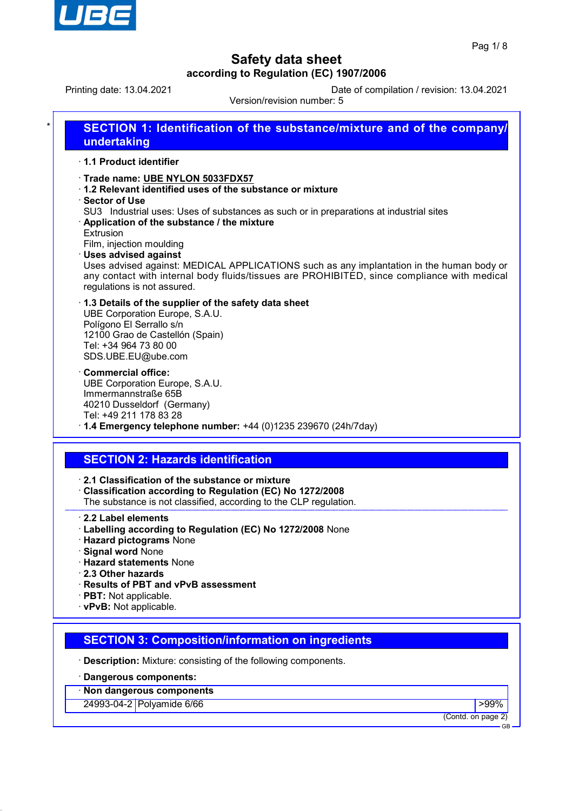

Printing date: 13.04.2021 Date of compilation / revision: 13.04.2021

Version/revision number: 5

| 1.1 Product identifier                            |                                                                                                                                                                                                                                                       |
|---------------------------------------------------|-------------------------------------------------------------------------------------------------------------------------------------------------------------------------------------------------------------------------------------------------------|
| ⋅ Sector of Use                                   | Trade name: UBE NYLON 5033FDX57<br>1.2 Relevant identified uses of the substance or mixture                                                                                                                                                           |
| Extrusion                                         | SU3 Industrial uses: Uses of substances as such or in preparations at industrial sites<br>Application of the substance / the mixture<br>Film, injection moulding                                                                                      |
|                                                   | <b>Uses advised against</b><br>Uses advised against: MEDICAL APPLICATIONS such as any implantation in the human body or<br>any contact with internal body fluids/tissues are PROHIBITED, since compliance with medical<br>regulations is not assured. |
|                                                   | 1.3 Details of the supplier of the safety data sheet<br>UBE Corporation Europe, S.A.U.<br>Polígono El Serrallo s/n<br>12100 Grao de Castellón (Spain)<br>Tel: +34 964 73 80 00                                                                        |
|                                                   | SDS.UBE.EU@ube.com                                                                                                                                                                                                                                    |
| Commercial office:                                | UBE Corporation Europe, S.A.U.<br>Immermannstraße 65B<br>40210 Dusseldorf (Germany)                                                                                                                                                                   |
|                                                   | Tel: +49 211 178 83 28                                                                                                                                                                                                                                |
|                                                   | $\cdot$ 1.4 Emergency telephone number: +44 (0)1235 239670 (24h/7day)                                                                                                                                                                                 |
|                                                   |                                                                                                                                                                                                                                                       |
|                                                   | <b>SECTION 2: Hazards identification</b>                                                                                                                                                                                                              |
|                                                   | 2.1 Classification of the substance or mixture<br>Classification according to Regulation (EC) No 1272/2008<br>The substance is not classified, according to the CLP regulation.                                                                       |
|                                                   |                                                                                                                                                                                                                                                       |
| 2.2 Label elements                                | · Labelling according to Regulation (EC) No 1272/2008 None                                                                                                                                                                                            |
| <b>Signal word None</b>                           | · Hazard pictograms None                                                                                                                                                                                                                              |
|                                                   | <b>Hazard statements None</b>                                                                                                                                                                                                                         |
| 2.3 Other hazards                                 |                                                                                                                                                                                                                                                       |
|                                                   | · Results of PBT and vPvB assessment                                                                                                                                                                                                                  |
| · PBT: Not applicable.<br>· vPvB: Not applicable. |                                                                                                                                                                                                                                                       |
|                                                   |                                                                                                                                                                                                                                                       |
|                                                   | <b>SECTION 3: Composition/information on ingredients</b>                                                                                                                                                                                              |
|                                                   | <b>Description:</b> Mixture: consisting of the following components.                                                                                                                                                                                  |
|                                                   | · Dangerous components:                                                                                                                                                                                                                               |
|                                                   | · Non dangerous components                                                                                                                                                                                                                            |
|                                                   | 24993-04-2 Polyamide 6/66<br>$>99\%$<br>(Contd. on page 2)                                                                                                                                                                                            |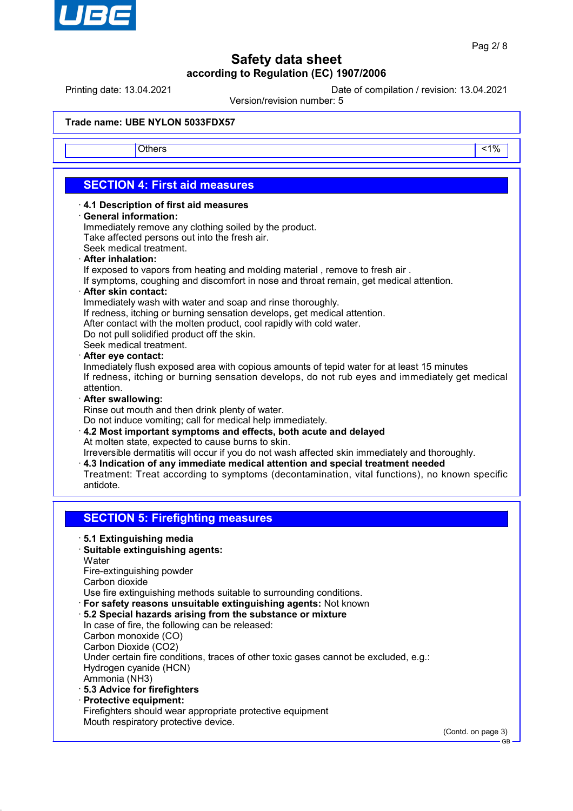

Printing date: 13.04.2021 Date of compilation / revision: 13.04.2021

Version/revision number: 5

#### **Trade name: UBE NYLON 5033FDX57**

Others and the contract of the contract of the contract of the contract of the contract of the contract of the contract of the contract of the contract of the contract of the contract of the contract of the contract of the

## **SECTION 4: First aid measures**

- · **4.1 Description of first aid measures**
- · **General information:**

Immediately remove any clothing soiled by the product. Take affected persons out into the fresh air.

- Seek medical treatment.
- · **After inhalation:**

If exposed to vapors from heating and molding material , remove to fresh air .

If symptoms, coughing and discomfort in nose and throat remain, get medical attention.

· **After skin contact:**

Immediately wash with water and soap and rinse thoroughly.

- If redness, itching or burning sensation develops, get medical attention.
- After contact with the molten product, cool rapidly with cold water.
- Do not pull solidified product off the skin.

Seek medical treatment.

#### · **After eye contact:**

Inmediately flush exposed area with copious amounts of tepid water for at least 15 minutes If redness, itching or burning sensation develops, do not rub eyes and immediately get medical attention.

#### · **After swallowing:**

Rinse out mouth and then drink plenty of water.

Do not induce vomiting; call for medical help immediately.

· **4.2 Most important symptoms and effects, both acute and delayed** At molten state, expected to cause burns to skin.

Irreversible dermatitis will occur if you do not wash affected skin immediately and thoroughly.

- · **4.3 Indication of any immediate medical attention and special treatment needed**
- Treatment: Treat according to symptoms (decontamination, vital functions), no known specific antidote.

## **SECTION 5: Firefighting measures**

- · **5.1 Extinguishing media**
- · **Suitable extinguishing agents: Water**

Fire-extinguishing powder Carbon dioxide

Use fire extinguishing methods suitable to surrounding conditions.

- · **For safety reasons unsuitable extinguishing agents:** Not known
- · **5.2 Special hazards arising from the substance or mixture** In case of fire, the following can be released: Carbon monoxide (CO) Carbon Dioxide (CO2) Under certain fire conditions, traces of other toxic gases cannot be excluded, e.g.: Hydrogen cyanide (HCN) Ammonia (NH3)
- · **5.3 Advice for firefighters**
- · **Protective equipment:**
- Firefighters should wear appropriate protective equipment Mouth respiratory protective device.

(Contd. on page 3)

GB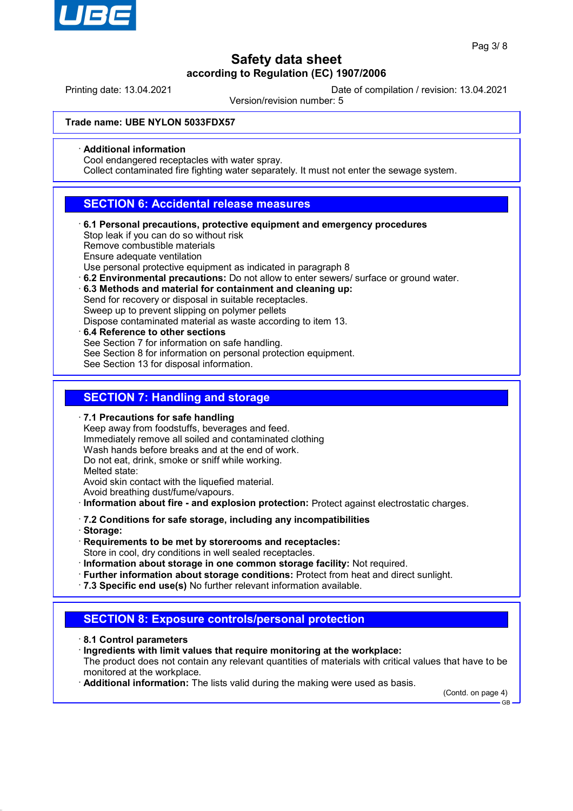

Printing date: 13.04.2021 Date of compilation / revision: 13.04.2021

Version/revision number: 5

#### **Trade name: UBE NYLON 5033FDX57**

#### · **Additional information**

Cool endangered receptacles with water spray.

Collect contaminated fire fighting water separately. It must not enter the sewage system.

## **SECTION 6: Accidental release measures**

· **6.1 Personal precautions, protective equipment and emergency procedures** Stop leak if you can do so without risk

Remove combustible materials

Ensure adequate ventilation

Use personal protective equipment as indicated in paragraph 8

- · **6.2 Environmental precautions:** Do not allow to enter sewers/ surface or ground water.
- · **6.3 Methods and material for containment and cleaning up:** Send for recovery or disposal in suitable receptacles. Sweep up to prevent slipping on polymer pellets Dispose contaminated material as waste according to item 13.
- · **6.4 Reference to other sections** See Section 7 for information on safe handling. See Section 8 for information on personal protection equipment. See Section 13 for disposal information.

## **SECTION 7: Handling and storage**

· **7.1 Precautions for safe handling**

Keep away from foodstuffs, beverages and feed. Immediately remove all soiled and contaminated clothing Wash hands before breaks and at the end of work. Do not eat, drink, smoke or sniff while working. Melted state: Avoid skin contact with the liquefied material. Avoid breathing dust/fume/vapours.

· **Information about fire - and explosion protection:** Protect against electrostatic charges.

- · **7.2 Conditions for safe storage, including any incompatibilities**
- · **Storage:**
- · **Requirements to be met by storerooms and receptacles:** Store in cool, dry conditions in well sealed receptacles.
- · **Information about storage in one common storage facility:** Not required.
- · **Further information about storage conditions:** Protect from heat and direct sunlight.
- · **7.3 Specific end use(s)** No further relevant information available.

## **SECTION 8: Exposure controls/personal protection**

- · **8.1 Control parameters**
- · **Ingredients with limit values that require monitoring at the workplace:**

The product does not contain any relevant quantities of materials with critical values that have to be monitored at the workplace.

· **Additional information:** The lists valid during the making were used as basis.

(Contd. on page 4) GB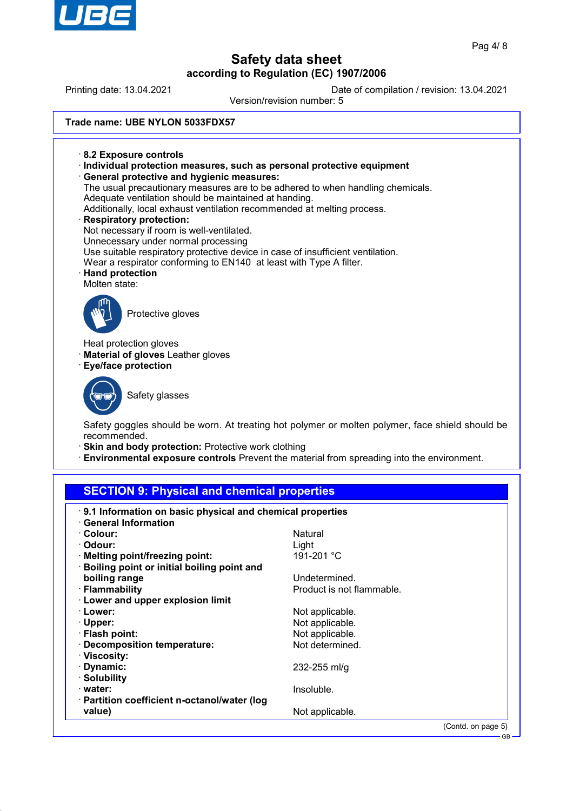

GB

# **Safety data sheet**

**according to Regulation (EC) 1907/2006** Printing date: 13.04.2021 Date of compilation / revision: 13.04.2021 Version/revision number: 5 **Trade name: UBE NYLON 5033FDX57** · **8.2 Exposure controls** · **Individual protection measures, such as personal protective equipment** · **General protective and hygienic measures:** The usual precautionary measures are to be adhered to when handling chemicals. Adequate ventilation should be maintained at handing. Additionally, local exhaust ventilation recommended at melting process. · **Respiratory protection:** Not necessary if room is well-ventilated. Unnecessary under normal processing Use suitable respiratory protective device in case of insufficient ventilation. Wear a respirator conforming to EN140 at least with Type A filter. · **Hand protection** Molten state: Protective gloves Heat protection gloves **Material of gloves** Leather gloves · **Eye/face protection** Safety glasses Safety goggles should be worn. At treating hot polymer or molten polymer, face shield should be recommended. · **Skin and body protection:** Protective work clothing · **Environmental exposure controls** Prevent the material from spreading into the environment. **SECTION 9: Physical and chemical properties**

| 9.1 Information on basic physical and chemical properties<br>· General Information |                           |                    |
|------------------------------------------------------------------------------------|---------------------------|--------------------|
| · Colour:                                                                          | Natural                   |                    |
| · Odour:                                                                           | Light                     |                    |
| $\cdot$ Melting point/freezing point:                                              | 191-201 °C                |                    |
| · Boiling point or initial boiling point and                                       |                           |                    |
| boiling range                                                                      | Undetermined.             |                    |
| · Flammability                                                                     | Product is not flammable. |                    |
| <b>Lower and upper explosion limit</b>                                             |                           |                    |
| · Lower:                                                                           | Not applicable.           |                    |
| $\cdot$ Upper:                                                                     | Not applicable.           |                    |
| $\cdot$ Flash point:                                                               | Not applicable.           |                    |
| · Decomposition temperature:                                                       | Not determined.           |                    |
| ∴Viscosity:                                                                        |                           |                    |
| · Dynamic:                                                                         | $232 - 255$ ml/g          |                    |
| · Solubility                                                                       |                           |                    |
| · water:                                                                           | Insoluble.                |                    |
| $\cdot$ Partition coefficient n-octanol/water (log                                 |                           |                    |
| value)                                                                             | Not applicable.           |                    |
|                                                                                    |                           | (Contd. on page 5) |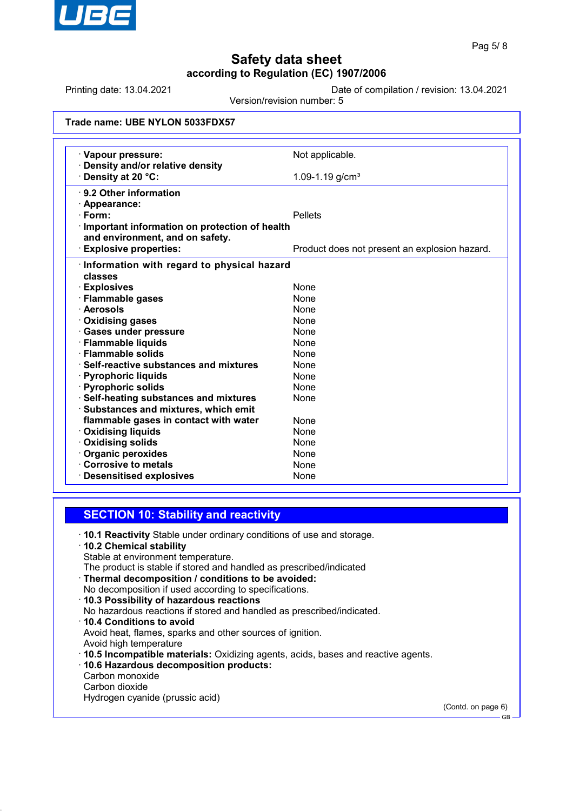

Printing date: 13.04.2021 Date of compilation / revision: 13.04.2021

Version/revision number: 5

| Trade name: UBE NYLON 5033FDX57 |  |  |  |  |
|---------------------------------|--|--|--|--|
|---------------------------------|--|--|--|--|

| · Vapour pressure:                                   | Not applicable.                               |
|------------------------------------------------------|-----------------------------------------------|
| Density and/or relative density<br>Density at 20 °C: | 1.09-1.19 $g/cm3$                             |
|                                                      |                                               |
| ⋅ 9.2 Other information                              |                                               |
| · Appearance:                                        |                                               |
| <b>Pellets</b><br>· Form:                            |                                               |
| Important information on protection of health        |                                               |
| and environment, and on safety.                      |                                               |
| <b>Explosive properties:</b>                         | Product does not present an explosion hazard. |
| · Information with regard to physical hazard         |                                               |
| classes                                              |                                               |
| <b>Explosives</b>                                    | None                                          |
| · Flammable gases                                    | <b>None</b>                                   |
| · Aerosols                                           | <b>None</b>                                   |
| <b>Oxidising gases</b>                               | <b>None</b>                                   |
| · Gases under pressure                               | <b>None</b>                                   |
| · Flammable liquids                                  | None                                          |
| · Flammable solids                                   | <b>None</b>                                   |
| $\cdot$ Self-reactive substances and mixtures        | <b>None</b>                                   |
| · Pyrophoric liquids                                 | None                                          |
| · Pyrophoric solids                                  | <b>None</b>                                   |
| · Self-heating substances and mixtures               | None                                          |
| Substances and mixtures, which emit                  |                                               |
| flammable gases in contact with water                | <b>None</b>                                   |
| <b>Oxidising liquids</b>                             | <b>None</b>                                   |
| · Oxidising solids                                   | <b>None</b>                                   |
| · Organic peroxides                                  | None                                          |
| Corrosive to metals                                  | None                                          |
| <b>Desensitised explosives</b>                       | None                                          |

#### **SECTION 10: Stability and reactivity**

- · **10.1 Reactivity** Stable under ordinary conditions of use and storage.
- · **10.2 Chemical stability** Stable at environment temperature. The product is stable if stored and handled as prescribed/indicated
- · **Thermal decomposition / conditions to be avoided:** No decomposition if used according to specifications.
- · **10.3 Possibility of hazardous reactions**
- No hazardous reactions if stored and handled as prescribed/indicated.
- · **10.4 Conditions to avoid** Avoid heat, flames, sparks and other sources of ignition. Avoid high temperature
- · **10.5 Incompatible materials:** Oxidizing agents, acids, bases and reactive agents.
- · **10.6 Hazardous decomposition products:** Carbon monoxide Carbon dioxide
- Hydrogen cyanide (prussic acid)

(Contd. on page 6)

GB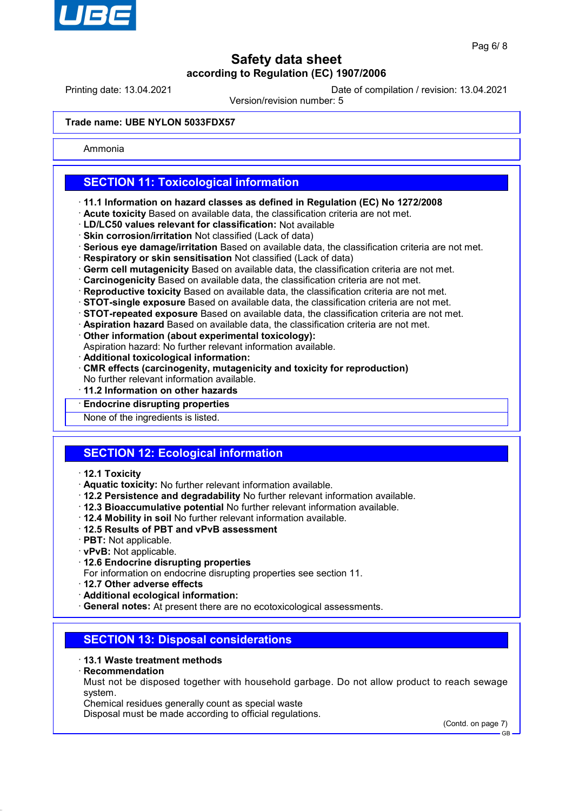

Printing date: 13.04.2021 Date of compilation / revision: 13.04.2021

Version/revision number: 5

#### **Trade name: UBE NYLON 5033FDX57**

Ammonia

## **SECTION 11: Toxicological information**

- · **11.1 Information on hazard classes as defined in Regulation (EC) No 1272/2008**
- · **Acute toxicity** Based on available data, the classification criteria are not met.
- · **LD/LC50 values relevant for classification:** Not available
- · **Skin corrosion/irritation** Not classified (Lack of data)
- · **Serious eye damage/irritation** Based on available data, the classification criteria are not met.
- · **Respiratory or skin sensitisation** Not classified (Lack of data)
- · **Germ cell mutagenicity** Based on available data, the classification criteria are not met.
- · **Carcinogenicity** Based on available data, the classification criteria are not met.
- · **Reproductive toxicity** Based on available data, the classification criteria are not met.
- · **STOT-single exposure** Based on available data, the classification criteria are not met.
- · **STOT-repeated exposure** Based on available data, the classification criteria are not met.
- · **Aspiration hazard** Based on available data, the classification criteria are not met.
- · **Other information (about experimental toxicology):**
- Aspiration hazard: No further relevant information available.
- · **Additional toxicological information:**
- · **CMR effects (carcinogenity, mutagenicity and toxicity for reproduction)** No further relevant information available.
- · **11.2 Information on other hazards**
- · **Endocrine disrupting properties**
- None of the ingredients is listed.

# **SECTION 12: Ecological information**

- · **12.1 Toxicity**
- · **Aquatic toxicity:** No further relevant information available.
- · **12.2 Persistence and degradability** No further relevant information available.
- · **12.3 Bioaccumulative potential** No further relevant information available.
- · **12.4 Mobility in soil** No further relevant information available.
- · **12.5 Results of PBT and vPvB assessment**
- · **PBT:** Not applicable.
- · **vPvB:** Not applicable.
- · **12.6 Endocrine disrupting properties**
- For information on endocrine disrupting properties see section 11.
- · **12.7 Other adverse effects**
- · **Additional ecological information:**

· **General notes:** At present there are no ecotoxicological assessments.

## **SECTION 13: Disposal considerations**

#### · **13.1 Waste treatment methods**

· **Recommendation**

Must not be disposed together with household garbage. Do not allow product to reach sewage system.

Chemical residues generally count as special waste

Disposal must be made according to official regulations.

(Contd. on page 7)

GB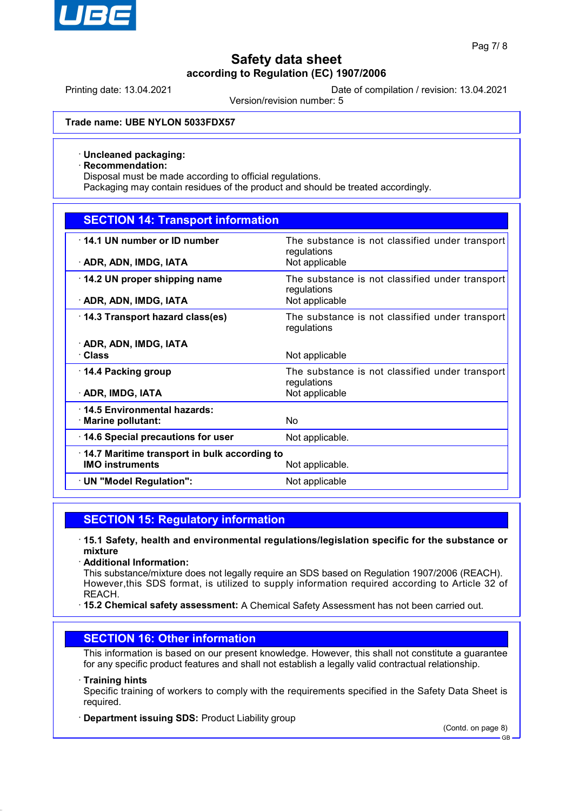

Printing date: 13.04.2021 Date of compilation / revision: 13.04.2021

Version/revision number: 5

#### **Trade name: UBE NYLON 5033FDX57**

#### · **Uncleaned packaging:**

· **Recommendation:**

Disposal must be made according to official regulations.

Packaging may contain residues of the product and should be treated accordingly.

## **SECTION 14: Transport information**

| 14.1 UN number or ID number                  | The substance is not classified under transport                |
|----------------------------------------------|----------------------------------------------------------------|
|                                              | regulations                                                    |
| · ADR, ADN, IMDG, IATA                       | Not applicable                                                 |
| $\cdot$ 14.2 UN proper shipping name         | The substance is not classified under transport<br>regulations |
| · ADR, ADN, IMDG, IATA                       | Not applicable                                                 |
| 14.3 Transport hazard class(es)              | The substance is not classified under transport<br>regulations |
| · ADR, ADN, IMDG, IATA                       |                                                                |
| · Class                                      | Not applicable                                                 |
| ⋅ 14.4 Packing group                         | The substance is not classified under transport<br>regulations |
| · ADR, IMDG, IATA                            | Not applicable                                                 |
| 14.5 Environmental hazards:                  |                                                                |
| $\cdot$ Marine pollutant:                    | N <sub>o</sub>                                                 |
| 14.6 Special precautions for user            | Not applicable.                                                |
| 14.7 Maritime transport in bulk according to |                                                                |
| <b>IMO instruments</b>                       | Not applicable.                                                |
| · UN "Model Regulation":                     | Not applicable                                                 |

## **SECTION 15: Regulatory information**

- · **15.1 Safety, health and environmental regulations/legislation specific for the substance or mixture**
- · **Additional Information:**
- This substance/mixture does not legally require an SDS based on Regulation 1907/2006 (REACH). However,this SDS format, is utilized to supply information required according to Article 32 of REACH.
- · **15.2 Chemical safety assessment:** A Chemical Safety Assessment has not been carried out.

#### **SECTION 16: Other information**

This information is based on our present knowledge. However, this shall not constitute a guarantee for any specific product features and shall not establish a legally valid contractual relationship.

#### · **Training hints**

Specific training of workers to comply with the requirements specified in the Safety Data Sheet is required.

#### · **Department issuing SDS:** Product Liability group

(Contd. on page 8) GB